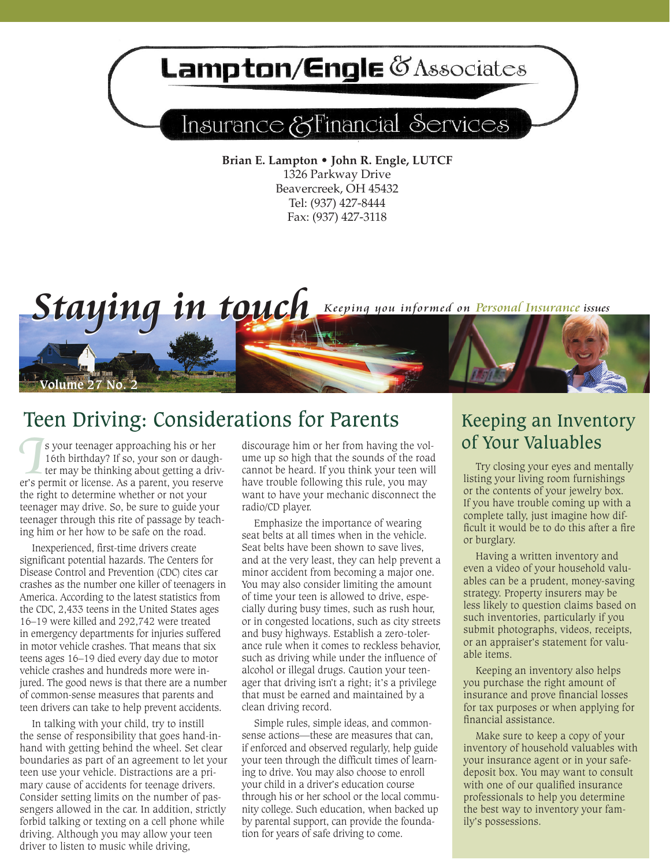# Lampton/Engle & Associates

## Insurance & Financial Services

**Brian E. Lampton • John R. Engle, LUTCF** 1326 Parkway Drive Beavercreek, OH 45432 Tel: (937) 427-8444 Fax: (937) 427-3118

*Staying in touch* Keeping you informed on Personal Insurance issues



**I I I**s your teenager approaching his or her 16th birthday? If so, your son or daughter may be thinking about getting a driver's permit or license. As a parent, you reserve s your teenager approaching his or her 16th birthday? If so, your son or daugh ter may be thinking about getting a drivthe right to determine whether or not your teenager may drive. So, be sure to guide your teenager through this rite of passage by teaching him or her how to be safe on the road.

*<u>Ulume 27 No.</u>* 

Inexperienced, first-time drivers create significant potential hazards. The Centers for Disease Control and Prevention (CDC) cites car crashes as the number one killer of teenagers in America. According to the latest statistics from the CDC, 2,433 teens in the United States ages 16–19 were killed and 292,742 were treated in emergency departments for injuries suffered in motor vehicle crashes. That means that six teens ages 16–19 died every day due to motor vehicle crashes and hundreds more were injured. The good news is that there are a number of common-sense measures that parents and teen drivers can take to help prevent accidents.

In talking with your child, try to instill the sense of responsibility that goes hand-inhand with getting behind the wheel. Set clear boundaries as part of an agreement to let your teen use your vehicle. Distractions are a primary cause of accidents for teenage drivers. Consider setting limits on the number of passengers allowed in the car. In addition, strictly forbid talking or texting on a cell phone while driving. Although you may allow your teen driver to listen to music while driving,

discourage him or her from having the volume up so high that the sounds of the road cannot be heard. If you think your teen will have trouble following this rule, you may want to have your mechanic disconnect the radio/CD player.

Emphasize the importance of wearing seat belts at all times when in the vehicle. Seat belts have been shown to save lives, and at the very least, they can help prevent a minor accident from becoming a major one. You may also consider limiting the amount of time your teen is allowed to drive, especially during busy times, such as rush hour, or in congested locations, such as city streets and busy highways. Establish a zero-tolerance rule when it comes to reckless behavior, such as driving while under the influence of alcohol or illegal drugs. Caution your teenager that driving isn't a right; it's a privilege that must be earned and maintained by a clean driving record.

Simple rules, simple ideas, and commonsense actions—these are measures that can, if enforced and observed regularly, help guide your teen through the difficult times of learning to drive. You may also choose to enroll your child in a driver's education course through his or her school or the local community college. Such education, when backed up by parental support, can provide the foundation for years of safe driving to come.

### Keeping an Inventory of Your Valuables

Try closing your eyes and mentally listing your living room furnishings or the contents of your jewelry box. If you have trouble coming up with a complete tally, just imagine how difficult it would be to do this after a fire or burglary.

Having a written inventory and even a video of your household valuables can be a prudent, money-saving strategy. Property insurers may be less likely to question claims based on such inventories, particularly if you submit photographs, videos, receipts, or an appraiser's statement for valuable items.

Keeping an inventory also helps you purchase the right amount of insurance and prove financial losses for tax purposes or when applying for financial assistance.

Make sure to keep a copy of your inventory of household valuables with your insurance agent or in your safedeposit box. You may want to consult with one of our qualified insurance professionals to help you determine the best way to inventory your family's possessions.